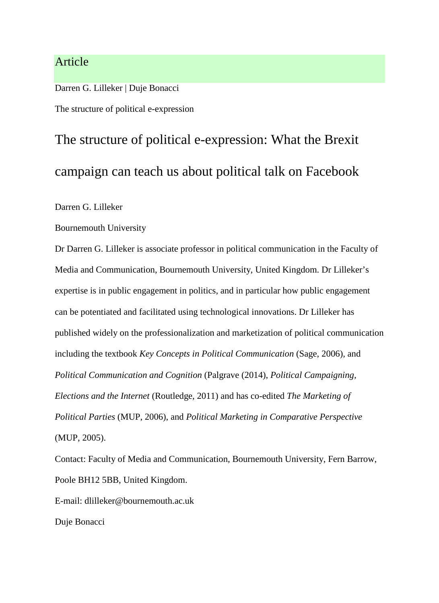# Article

Darren G. Lilleker | Duje Bonacci

The structure of political e-expression

# The structure of political e-expression: What the Brexit campaign can teach us about political talk on Facebook

Darren G. Lilleker

Bournemouth University

Dr Darren G. Lilleker is associate professor in political communication in the Faculty of Media and Communication, Bournemouth University, United Kingdom. Dr Lilleker's expertise is in public engagement in politics, and in particular how public engagement can be potentiated and facilitated using technological innovations. Dr Lilleker has published widely on the professionalization and marketization of political communication including the textbook *Key Concepts in Political Communication* (Sage, 2006), and *Political Communication and Cognition* (Palgrave (2014), *Political Campaigning, Elections and the Internet* (Routledge, 2011) and has co-edited *The Marketing of Political Parties* (MUP, 2006), and *Political Marketing in Comparative Perspective* (MUP, 2005).

Contact: Faculty of Media and Communication, Bournemouth University, Fern Barrow, Poole BH12 5BB, United Kingdom.

E-mail: dlilleker@bournemouth.ac.uk

Duje Bonacci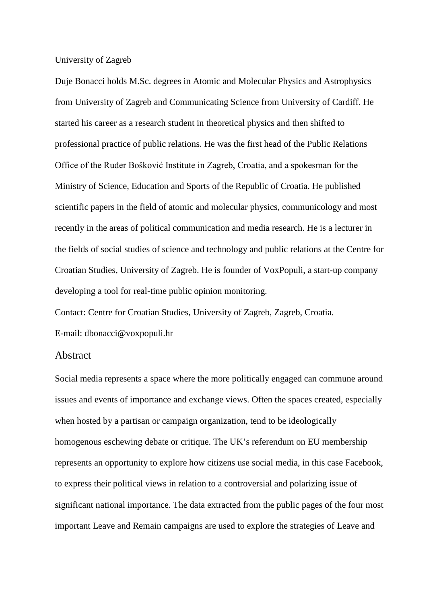University of Zagreb

Duje Bonacci holds M.Sc. degrees in Atomic and Molecular Physics and Astrophysics from University of Zagreb and Communicating Science from University of Cardiff. He started his career as a research student in theoretical physics and then shifted to professional practice of public relations. He was the first head of the Public Relations Office of the Ruđer Bošković Institute in Zagreb, Croatia, and a spokesman for the Ministry of Science, Education and Sports of the Republic of Croatia. He published scientific papers in the field of atomic and molecular physics, communicology and most recently in the areas of political communication and media research. He is a lecturer in the fields of social studies of science and technology and public relations at the Centre for Croatian Studies, University of Zagreb. He is founder of VoxPopuli, a start-up company developing a tool for real-time public opinion monitoring.

Contact: Centre for Croatian Studies, University of Zagreb, Zagreb, Croatia.

E-mail: dbonacci@voxpopuli.hr

#### Abstract

Social media represents a space where the more politically engaged can commune around issues and events of importance and exchange views. Often the spaces created, especially when hosted by a partisan or campaign organization, tend to be ideologically homogenous eschewing debate or critique. The UK's referendum on EU membership represents an opportunity to explore how citizens use social media, in this case Facebook, to express their political views in relation to a controversial and polarizing issue of significant national importance. The data extracted from the public pages of the four most important Leave and Remain campaigns are used to explore the strategies of Leave and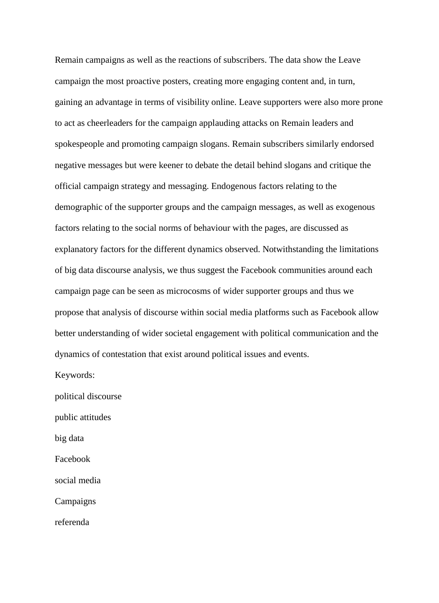Remain campaigns as well as the reactions of subscribers. The data show the Leave campaign the most proactive posters, creating more engaging content and, in turn, gaining an advantage in terms of visibility online. Leave supporters were also more prone to act as cheerleaders for the campaign applauding attacks on Remain leaders and spokespeople and promoting campaign slogans. Remain subscribers similarly endorsed negative messages but were keener to debate the detail behind slogans and critique the official campaign strategy and messaging. Endogenous factors relating to the demographic of the supporter groups and the campaign messages, as well as exogenous factors relating to the social norms of behaviour with the pages, are discussed as explanatory factors for the different dynamics observed. Notwithstanding the limitations of big data discourse analysis, we thus suggest the Facebook communities around each campaign page can be seen as microcosms of wider supporter groups and thus we propose that analysis of discourse within social media platforms such as Facebook allow better understanding of wider societal engagement with political communication and the dynamics of contestation that exist around political issues and events.

Keywords:

political discourse public attitudes

big data

Facebook

social media

Campaigns

referenda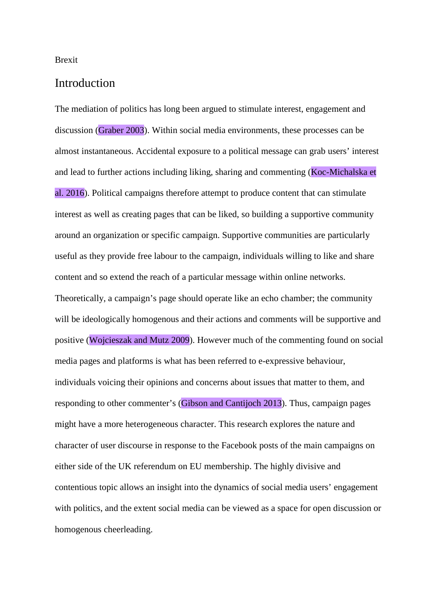Brexit

### Introduction

The mediation of politics has long been argued to stimulate interest, engagement and discussion (Graber 2003). Within social media environments, these processes can be almost instantaneous. Accidental exposure to a political message can grab users' interest and lead to further actions including liking, sharing and commenting (Koc-Michalska et al. 2016). Political campaigns therefore attempt to produce content that can stimulate interest as well as creating pages that can be liked, so building a supportive community around an organization or specific campaign. Supportive communities are particularly useful as they provide free labour to the campaign, individuals willing to like and share content and so extend the reach of a particular message within online networks. Theoretically, a campaign's page should operate like an echo chamber; the community will be ideologically homogenous and their actions and comments will be supportive and positive (Wojcieszak and Mutz 2009). However much of the commenting found on social media pages and platforms is what has been referred to e-expressive behaviour, individuals voicing their opinions and concerns about issues that matter to them, and responding to other commenter's (Gibson and Cantijoch 2013). Thus, campaign pages might have a more heterogeneous character. This research explores the nature and character of user discourse in response to the Facebook posts of the main campaigns on either side of the UK referendum on EU membership. The highly divisive and contentious topic allows an insight into the dynamics of social media users' engagement with politics, and the extent social media can be viewed as a space for open discussion or homogenous cheerleading.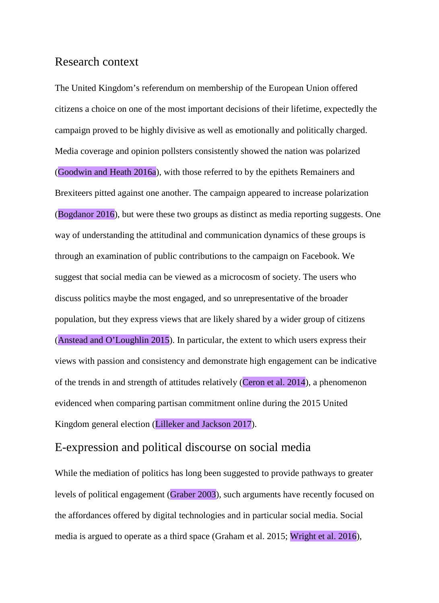## Research context

The United Kingdom's referendum on membership of the European Union offered citizens a choice on one of the most important decisions of their lifetime, expectedly the campaign proved to be highly divisive as well as emotionally and politically charged. Media coverage and opinion pollsters consistently showed the nation was polarized (Goodwin and Heath 2016a), with those referred to by the epithets Remainers and Brexiteers pitted against one another. The campaign appeared to increase polarization (Bogdanor 2016), but were these two groups as distinct as media reporting suggests. One way of understanding the attitudinal and communication dynamics of these groups is through an examination of public contributions to the campaign on Facebook. We suggest that social media can be viewed as a microcosm of society. The users who discuss politics maybe the most engaged, and so unrepresentative of the broader population, but they express views that are likely shared by a wider group of citizens (Anstead and O'Loughlin 2015). In particular, the extent to which users express their views with passion and consistency and demonstrate high engagement can be indicative of the trends in and strength of attitudes relatively (Ceron et al. 2014), a phenomenon evidenced when comparing partisan commitment online during the 2015 United Kingdom general election (Lilleker and Jackson 2017).

# E-expression and political discourse on social media

While the mediation of politics has long been suggested to provide pathways to greater levels of political engagement (Graber 2003), such arguments have recently focused on the affordances offered by digital technologies and in particular social media. Social media is argued to operate as a third space (Graham et al. 2015; Wright et al. 2016),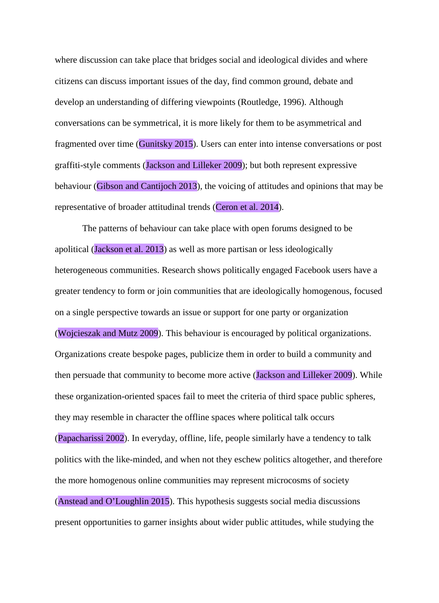where discussion can take place that bridges social and ideological divides and where citizens can discuss important issues of the day, find common ground, debate and develop an understanding of differing viewpoints (Routledge, 1996). Although conversations can be symmetrical, it is more likely for them to be asymmetrical and fragmented over time (Gunitsky 2015). Users can enter into intense conversations or post graffiti-style comments (Jackson and Lilleker 2009); but both represent expressive behaviour (Gibson and Cantijoch 2013), the voicing of attitudes and opinions that may be representative of broader attitudinal trends (Ceron et al. 2014).

The patterns of behaviour can take place with open forums designed to be apolitical (Jackson et al. 2013) as well as more partisan or less ideologically heterogeneous communities. Research shows politically engaged Facebook users have a greater tendency to form or join communities that are ideologically homogenous, focused on a single perspective towards an issue or support for one party or organization (Wojcieszak and Mutz 2009). This behaviour is encouraged by political organizations. Organizations create bespoke pages, publicize them in order to build a community and then persuade that community to become more active (Jackson and Lilleker 2009). While these organization-oriented spaces fail to meet the criteria of third space public spheres, they may resemble in character the offline spaces where political talk occurs (Papacharissi 2002). In everyday, offline, life, people similarly have a tendency to talk politics with the like-minded, and when not they eschew politics altogether, and therefore the more homogenous online communities may represent microcosms of society (Anstead and O'Loughlin 2015). This hypothesis suggests social media discussions present opportunities to garner insights about wider public attitudes, while studying the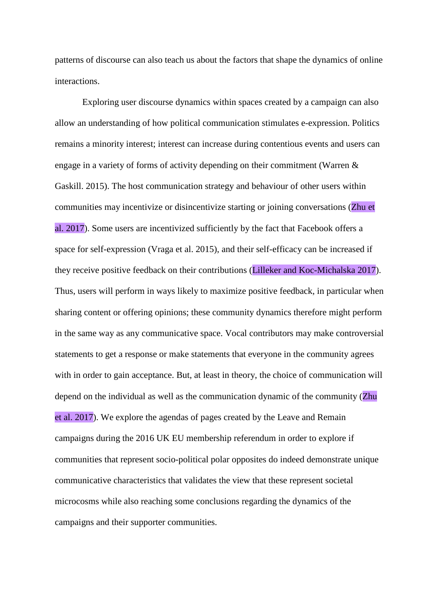patterns of discourse can also teach us about the factors that shape the dynamics of online interactions.

Exploring user discourse dynamics within spaces created by a campaign can also allow an understanding of how political communication stimulates e-expression. Politics remains a minority interest; interest can increase during contentious events and users can engage in a variety of forms of activity depending on their commitment (Warren & Gaskill. 2015). The host communication strategy and behaviour of other users within communities may incentivize or disincentivize starting or joining conversations (Zhu et al. 2017). Some users are incentivized sufficiently by the fact that Facebook offers a space for self-expression (Vraga et al. 2015), and their self-efficacy can be increased if they receive positive feedback on their contributions (Lilleker and Koc-Michalska 2017). Thus, users will perform in ways likely to maximize positive feedback, in particular when sharing content or offering opinions; these community dynamics therefore might perform in the same way as any communicative space. Vocal contributors may make controversial statements to get a response or make statements that everyone in the community agrees with in order to gain acceptance. But, at least in theory, the choice of communication will depend on the individual as well as the communication dynamic of the community (Zhu et al. 2017). We explore the agendas of pages created by the Leave and Remain campaigns during the 2016 UK EU membership referendum in order to explore if communities that represent socio-political polar opposites do indeed demonstrate unique communicative characteristics that validates the view that these represent societal microcosms while also reaching some conclusions regarding the dynamics of the campaigns and their supporter communities.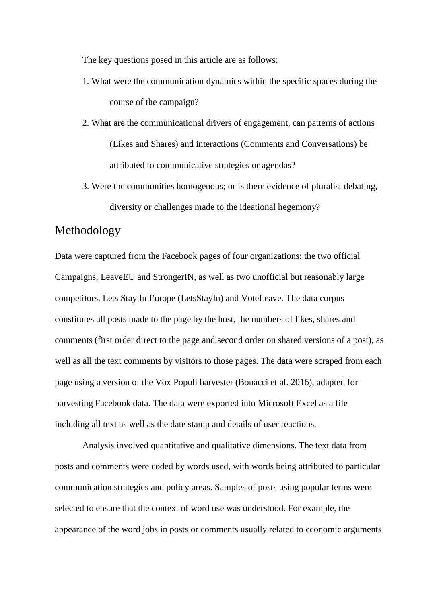The key questions posed in this article are as follows:

- 1. What were the communication dynamics within the specific spaces during the course of the campaign?
- 2. What are the communicational drivers of engagement, can patterns of actions (Likes and Shares) and interactions (Comments and Conversations) be attributed to communicative strategies or agendas?
- 3. Were the communities homogenous; or is there evidence of pluralist debating, diversity or challenges made to the ideational hegemony?

## Methodology

Data were captured from the Facebook pages of four organizations: the two official Campaigns, LeaveEU and StrongerIN, as well as two unofficial but reasonably large competitors, Lets Stay In Europe (LetsStayIn) and VoteLeave. The data corpus constitutes all posts made to the page by the host, the numbers of likes, shares and comments (first order direct to the page and second order on shared versions of a post), as well as all the text comments by visitors to those pages. The data were scraped from each page using a version of the Vox Populi harvester (Bonacci et al. 2016), adapted for harvesting Facebook data. The data were exported into Microsoft Excel as a file including all text as well as the date stamp and details of user reactions.

Analysis involved quantitative and qualitative dimensions. The text data from posts and comments were coded by words used, with words being attributed to particular communication strategies and policy areas. Samples of posts using popular terms were selected to ensure that the context of word use was understood. For example, the appearance of the word jobs in posts or comments usually related to economic arguments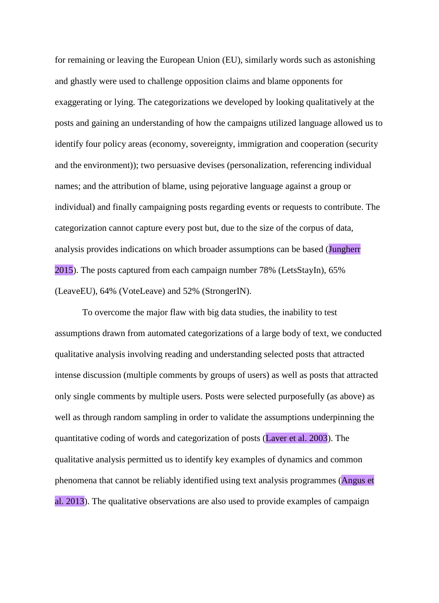for remaining or leaving the European Union (EU), similarly words such as astonishing and ghastly were used to challenge opposition claims and blame opponents for exaggerating or lying. The categorizations we developed by looking qualitatively at the posts and gaining an understanding of how the campaigns utilized language allowed us to identify four policy areas (economy, sovereignty, immigration and cooperation (security and the environment)); two persuasive devises (personalization, referencing individual names; and the attribution of blame, using pejorative language against a group or individual) and finally campaigning posts regarding events or requests to contribute. The categorization cannot capture every post but, due to the size of the corpus of data, analysis provides indications on which broader assumptions can be based (Jungherr 2015). The posts captured from each campaign number 78% (LetsStayIn), 65% (LeaveEU), 64% (VoteLeave) and 52% (StrongerIN).

To overcome the major flaw with big data studies, the inability to test assumptions drawn from automated categorizations of a large body of text, we conducted qualitative analysis involving reading and understanding selected posts that attracted intense discussion (multiple comments by groups of users) as well as posts that attracted only single comments by multiple users. Posts were selected purposefully (as above) as well as through random sampling in order to validate the assumptions underpinning the quantitative coding of words and categorization of posts (Laver et al. 2003). The qualitative analysis permitted us to identify key examples of dynamics and common phenomena that cannot be reliably identified using text analysis programmes (Angus et al. 2013). The qualitative observations are also used to provide examples of campaign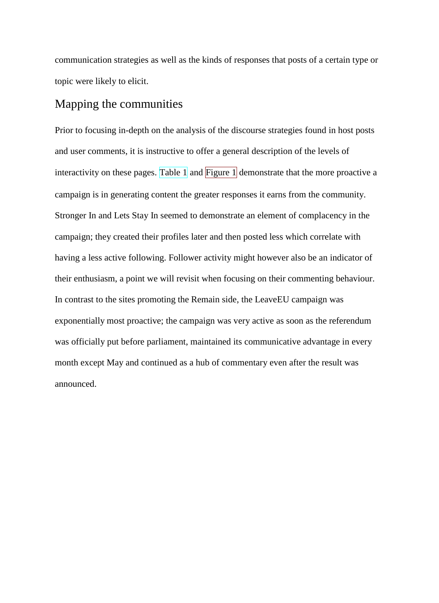communication strategies as well as the kinds of responses that posts of a certain type or topic were likely to elicit.

# Mapping the communities

Prior to focusing in-depth on the analysis of the discourse strategies found in host posts and user comments, it is instructive to offer a general description of the levels of interactivity on these pages. Table  $1$  and Figure  $1$  demonstrate that the more proactive a campaign is in generating content the greater responses it earns from the community. Stronger In and Lets Stay In seemed to demonstrate an element of complacency in the campaign; they created their profiles later and then posted less which correlate with having a less active following. Follower activity might however also be an indicator of their enthusiasm, a point we will revisit when focusing on their commenting behaviour. In contrast to the sites promoting the Remain side, the LeaveEU campaign was exponentially most proactive; the campaign was very active as soon as the referendum was officially put before parliament, maintained its communicative advantage in every month except May and continued as a hub of commentary even after the result was announced.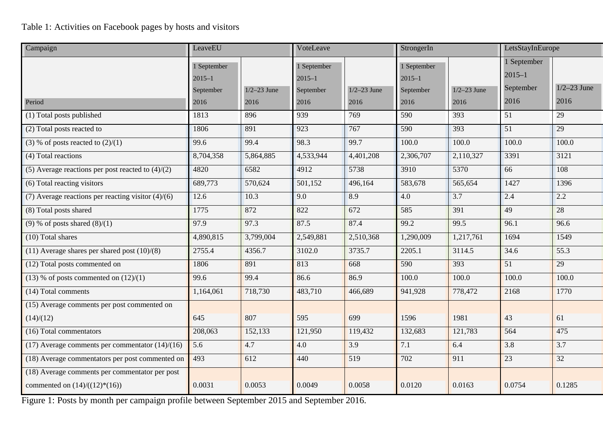## Table 1: Activities on Facebook pages by hosts and visitors

| Campaign                                             | LeaveEU                                        |                         | VoteLeave                                      |                       | StrongerIn                                     |                         | LetsStayInEurope                               |                       |
|------------------------------------------------------|------------------------------------------------|-------------------------|------------------------------------------------|-----------------------|------------------------------------------------|-------------------------|------------------------------------------------|-----------------------|
| Period                                               | 1 September<br>$2015 - 1$<br>September<br>2016 | $1/2 - 23$ June<br>2016 | 1 September<br>$2015 - 1$<br>September<br>2016 | $1/2-23$ June<br>2016 | 1 September<br>$2015 - 1$<br>September<br>2016 | $1/2 - 23$ June<br>2016 | 1 September<br>$2015 - 1$<br>September<br>2016 | $1/2-23$ June<br>2016 |
| (1) Total posts published                            | 1813                                           | 896                     | 939                                            | 769                   | 590                                            | 393                     | 51                                             | 29                    |
| (2) Total posts reacted to                           | 1806                                           | 891                     | 923                                            | 767                   | 590                                            | 393                     | $\overline{51}$                                | 29                    |
| (3) % of posts reacted to $(2)/(1)$                  | 99.6                                           | 99.4                    | 98.3                                           | 99.7                  | 100.0                                          | 100.0                   | 100.0                                          | 100.0                 |
| (4) Total reactions                                  | 8,704,358                                      | 5,864,885               | 4,533,944                                      | 4,401,208             | 2,306,707                                      | 2,110,327               | 3391                                           | 3121                  |
| (5) Average reactions per post reacted to $(4)/(2)$  | 4820                                           | 6582                    | 4912                                           | 5738                  | 3910                                           | 5370                    | 66                                             | 108                   |
| (6) Total reacting visitors                          | 689,773                                        | 570,624                 | 501,152                                        | 496,164               | 583,678                                        | 565,654                 | 1427                                           | 1396                  |
| (7) Average reactions per reacting visitor $(4)/(6)$ | 12.6                                           | 10.3                    | 9.0                                            | 8.9                   | 4.0                                            | 3.7                     | 2.4                                            | 2.2                   |
| (8) Total posts shared                               | 1775                                           | 872                     | 822                                            | 672                   | 585                                            | 391                     | 49                                             | 28                    |
| $(9)$ % of posts shared $(8)/(1)$                    | 97.9                                           | 97.3                    | 87.5                                           | 87.4                  | 99.2                                           | 99.5                    | 96.1                                           | 96.6                  |
| $(10)$ Total shares                                  | 4,890,815                                      | 3,799,004               | 2,549,881                                      | 2,510,368             | 1,290,009                                      | 1,217,761               | 1694                                           | 1549                  |
| $(11)$ Average shares per shared post $(10)/(8)$     | 2755.4                                         | 4356.7                  | 3102.0                                         | 3735.7                | 2205.1                                         | 3114.5                  | 34.6                                           | 55.3                  |
| (12) Total posts commented on                        | 1806                                           | 891                     | 813                                            | 668                   | 590                                            | 393                     | 51                                             | 29                    |
| $(13)$ % of posts commented on $(12)/(1)$            | 99.6                                           | 99.4                    | 86.6                                           | 86.9                  | 100.0                                          | 100.0                   | 100.0                                          | 100.0                 |
| (14) Total comments                                  | 1,164,061                                      | 718,730                 | 483,710                                        | 466,689               | 941,928                                        | 778,472                 | 2168                                           | 1770                  |
| (15) Average comments per post commented on          |                                                |                         |                                                |                       |                                                |                         |                                                |                       |
| (14)/(12)                                            | 645                                            | 807                     | 595                                            | 699                   | 1596                                           | 1981                    | 43                                             | 61                    |
| (16) Total commentators                              | 208,063                                        | 152,133                 | 121,950                                        | 119,432               | 132,683                                        | 121,783                 | 564                                            | 475                   |
| $(17)$ Average comments per commentator $(14)/(16)$  | 5.6                                            | 4.7                     | 4.0                                            | 3.9                   | 7.1                                            | 6.4                     | 3.8                                            | 3.7                   |
| (18) Average commentators per post commented on      | 493                                            | 612                     | 440                                            | 519                   | 702                                            | 911                     | 23                                             | 32                    |
| (18) Average comments per commentator per post       |                                                |                         |                                                |                       |                                                |                         |                                                |                       |
| commented on $(14)/( (12)^*(16))$                    | 0.0031                                         | 0.0053                  | 0.0049                                         | 0.0058                | 0.0120                                         | 0.0163                  | 0.0754                                         | 0.1285                |

Figure 1: Posts by month per campaign profile between September 2015 and September 2016.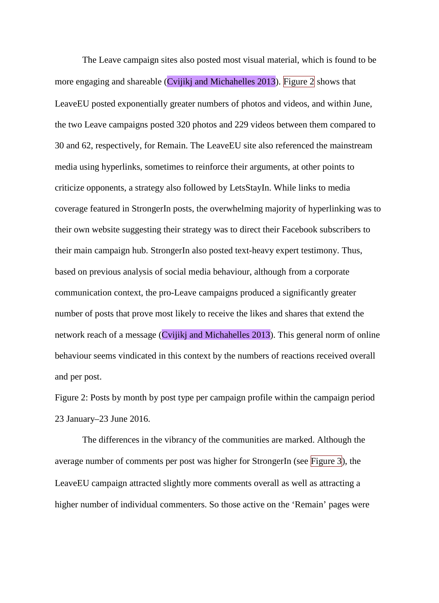The Leave campaign sites also posted most visual material, which is found to be more engaging and shareable (Cvijikj and Michahelles 2013). Figure 2 shows that LeaveEU posted exponentially greater numbers of photos and videos, and within June, the two Leave campaigns posted 320 photos and 229 videos between them compared to 30 and 62, respectively, for Remain. The LeaveEU site also referenced the mainstream media using hyperlinks, sometimes to reinforce their arguments, at other points to criticize opponents, a strategy also followed by LetsStayIn. While links to media coverage featured in StrongerIn posts, the overwhelming majority of hyperlinking was to their own website suggesting their strategy was to direct their Facebook subscribers to their main campaign hub. StrongerIn also posted text-heavy expert testimony. Thus, based on previous analysis of social media behaviour, although from a corporate communication context, the pro-Leave campaigns produced a significantly greater number of posts that prove most likely to receive the likes and shares that extend the network reach of a message (Cvijikj and Michahelles 2013). This general norm of online behaviour seems vindicated in this context by the numbers of reactions received overall and per post.

Figure 2: Posts by month by post type per campaign profile within the campaign period 23 January–23 June 2016.

The differences in the vibrancy of the communities are marked. Although the average number of comments per post was higher for StrongerIn (see Figure 3), the LeaveEU campaign attracted slightly more comments overall as well as attracting a higher number of individual commenters. So those active on the 'Remain' pages were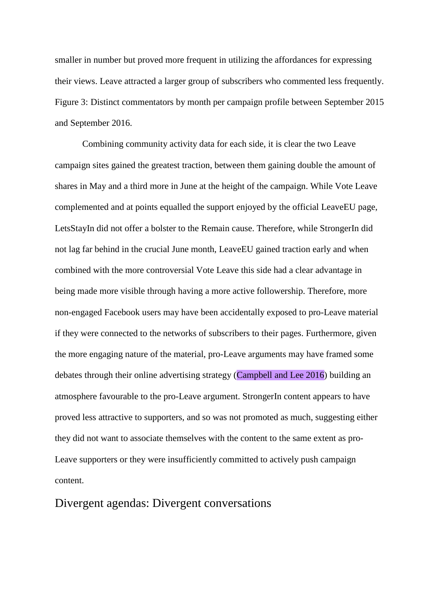smaller in number but proved more frequent in utilizing the affordances for expressing their views. Leave attracted a larger group of subscribers who commented less frequently. Figure 3: Distinct commentators by month per campaign profile between September 2015 and September 2016.

Combining community activity data for each side, it is clear the two Leave campaign sites gained the greatest traction, between them gaining double the amount of shares in May and a third more in June at the height of the campaign. While Vote Leave complemented and at points equalled the support enjoyed by the official LeaveEU page, LetsStayIn did not offer a bolster to the Remain cause. Therefore, while StrongerIn did not lag far behind in the crucial June month, LeaveEU gained traction early and when combined with the more controversial Vote Leave this side had a clear advantage in being made more visible through having a more active followership. Therefore, more non-engaged Facebook users may have been accidentally exposed to pro-Leave material if they were connected to the networks of subscribers to their pages. Furthermore, given the more engaging nature of the material, pro-Leave arguments may have framed some debates through their online advertising strategy (Campbell and Lee 2016) building an atmosphere favourable to the pro-Leave argument. StrongerIn content appears to have proved less attractive to supporters, and so was not promoted as much, suggesting either they did not want to associate themselves with the content to the same extent as pro-Leave supporters or they were insufficiently committed to actively push campaign content.

# Divergent agendas: Divergent conversations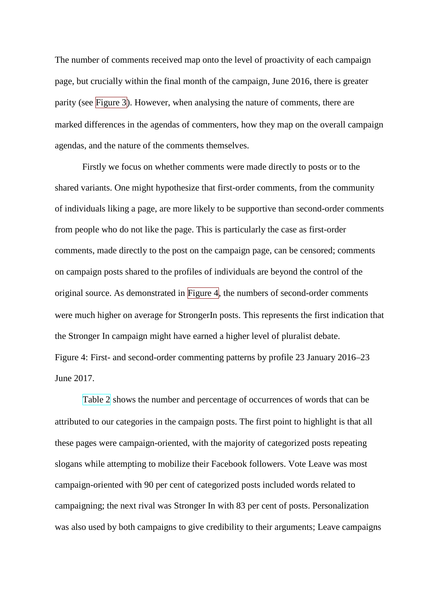The number of comments received map onto the level of proactivity of each campaign page, but crucially within the final month of the campaign, June 2016, there is greater parity (see Figure 3). However, when analysing the nature of comments, there are marked differences in the agendas of commenters, how they map on the overall campaign agendas, and the nature of the comments themselves.

Firstly we focus on whether comments were made directly to posts or to the shared variants. One might hypothesize that first-order comments, from the community of individuals liking a page, are more likely to be supportive than second-order comments from people who do not like the page. This is particularly the case as first-order comments, made directly to the post on the campaign page, can be censored; comments on campaign posts shared to the profiles of individuals are beyond the control of the original source. As demonstrated in Figure  $4$ , the numbers of second-order comments were much higher on average for StrongerIn posts. This represents the first indication that the Stronger In campaign might have earned a higher level of pluralist debate. Figure 4: First- and second-order commenting patterns by profile 23 January 2016–23 June 2017.

Table 2 shows the number and percentage of occurrences of words that can be attributed to our categories in the campaign posts. The first point to highlight is that all these pages were campaign-oriented, with the majority of categorized posts repeating slogans while attempting to mobilize their Facebook followers. Vote Leave was most campaign-oriented with 90 per cent of categorized posts included words related to campaigning; the next rival was Stronger In with 83 per cent of posts. Personalization was also used by both campaigns to give credibility to their arguments; Leave campaigns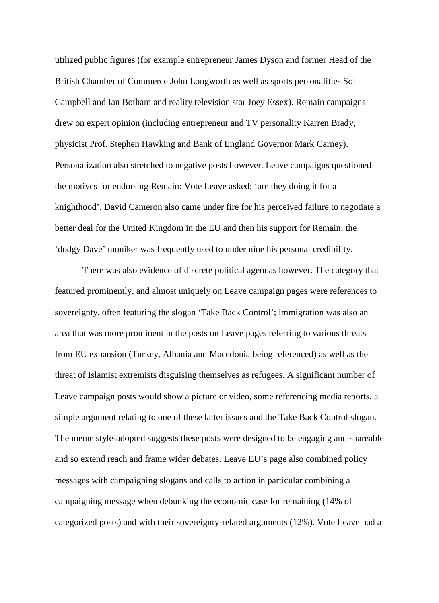utilized public figures (for example entrepreneur James Dyson and former Head of the British Chamber of Commerce John Longworth as well as sports personalities Sol Campbell and Ian Botham and reality television star Joey Essex). Remain campaigns drew on expert opinion (including entrepreneur and TV personality Karren Brady, physicist Prof. Stephen Hawking and Bank of England Governor Mark Carney). Personalization also stretched to negative posts however. Leave campaigns questioned the motives for endorsing Remain: Vote Leave asked: 'are they doing it for a knighthood'. David Cameron also came under fire for his perceived failure to negotiate a better deal for the United Kingdom in the EU and then his support for Remain; the 'dodgy Dave' moniker was frequently used to undermine his personal credibility.

There was also evidence of discrete political agendas however. The category that featured prominently, and almost uniquely on Leave campaign pages were references to sovereignty, often featuring the slogan 'Take Back Control'; immigration was also an area that was more prominent in the posts on Leave pages referring to various threats from EU expansion (Turkey, Albania and Macedonia being referenced) as well as the threat of Islamist extremists disguising themselves as refugees. A significant number of Leave campaign posts would show a picture or video, some referencing media reports, a simple argument relating to one of these latter issues and the Take Back Control slogan. The meme style-adopted suggests these posts were designed to be engaging and shareable and so extend reach and frame wider debates. Leave EU's page also combined policy messages with campaigning slogans and calls to action in particular combining a campaigning message when debunking the economic case for remaining (14% of categorized posts) and with their sovereignty-related arguments (12%). Vote Leave had a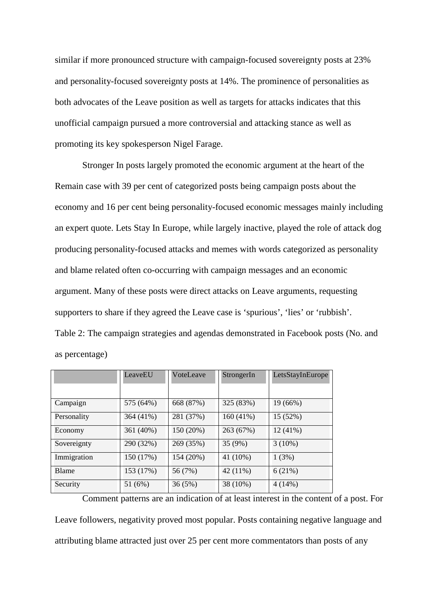similar if more pronounced structure with campaign-focused sovereignty posts at 23% and personality-focused sovereignty posts at 14%. The prominence of personalities as both advocates of the Leave position as well as targets for attacks indicates that this unofficial campaign pursued a more controversial and attacking stance as well as promoting its key spokesperson Nigel Farage.

Stronger In posts largely promoted the economic argument at the heart of the Remain case with 39 per cent of categorized posts being campaign posts about the economy and 16 per cent being personality-focused economic messages mainly including an expert quote. Lets Stay In Europe, while largely inactive, played the role of attack dog producing personality-focused attacks and memes with words categorized as personality and blame related often co-occurring with campaign messages and an economic argument. Many of these posts were direct attacks on Leave arguments, requesting supporters to share if they agreed the Leave case is 'spurious', 'lies' or 'rubbish'. Table 2: The campaign strategies and agendas demonstrated in Facebook posts (No. and as percentage)

|             | LeaveEU   | VoteLeave | StrongerIn | LetsStayInEurope |
|-------------|-----------|-----------|------------|------------------|
|             |           |           |            |                  |
| Campaign    | 575 (64%) | 668 (87%) | 325 (83%)  | 19(66%)          |
| Personality | 364 (41%) | 281 (37%) | 160(41%)   | 15 (52%)         |
| Economy     | 361 (40%) | 150 (20%) | 263 (67%)  | $12(41\%)$       |
| Sovereignty | 290 (32%) | 269 (35%) | 35 (9%)    | $3(10\%)$        |
| Immigration | 150 (17%) | 154 (20%) | 41 (10%)   | 1(3%)            |
| Blame       | 153 (17%) | 56 (7%)   | 42 (11%)   | 6(21%)           |
| Security    | 51 (6%)   | 36(5%)    | 38 (10%)   | 4(14%)           |

Comment patterns are an indication of at least interest in the content of a post. For Leave followers, negativity proved most popular. Posts containing negative language and attributing blame attracted just over 25 per cent more commentators than posts of any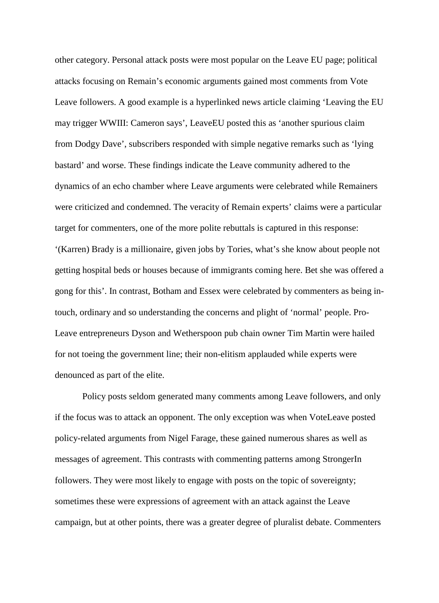other category. Personal attack posts were most popular on the Leave EU page; political attacks focusing on Remain's economic arguments gained most comments from Vote Leave followers. A good example is a hyperlinked news article claiming 'Leaving the EU may trigger WWIII: Cameron says', LeaveEU posted this as 'another spurious claim from Dodgy Dave', subscribers responded with simple negative remarks such as 'lying bastard' and worse. These findings indicate the Leave community adhered to the dynamics of an echo chamber where Leave arguments were celebrated while Remainers were criticized and condemned. The veracity of Remain experts' claims were a particular target for commenters, one of the more polite rebuttals is captured in this response: '(Karren) Brady is a millionaire, given jobs by Tories, what's she know about people not getting hospital beds or houses because of immigrants coming here. Bet she was offered a gong for this'. In contrast, Botham and Essex were celebrated by commenters as being intouch, ordinary and so understanding the concerns and plight of 'normal' people. Pro-Leave entrepreneurs Dyson and Wetherspoon pub chain owner Tim Martin were hailed for not toeing the government line; their non-elitism applauded while experts were denounced as part of the elite.

Policy posts seldom generated many comments among Leave followers, and only if the focus was to attack an opponent. The only exception was when VoteLeave posted policy-related arguments from Nigel Farage, these gained numerous shares as well as messages of agreement. This contrasts with commenting patterns among StrongerIn followers. They were most likely to engage with posts on the topic of sovereignty; sometimes these were expressions of agreement with an attack against the Leave campaign, but at other points, there was a greater degree of pluralist debate. Commenters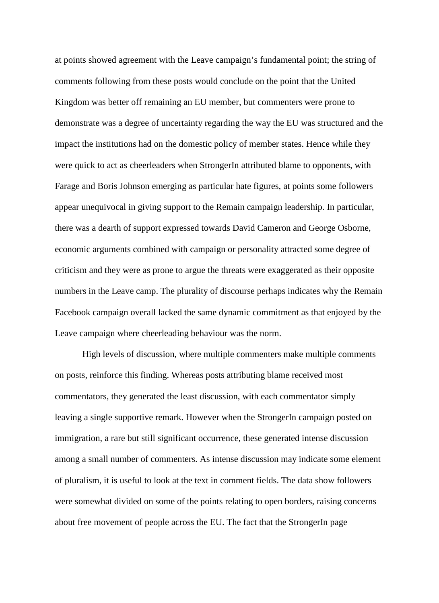at points showed agreement with the Leave campaign's fundamental point; the string of comments following from these posts would conclude on the point that the United Kingdom was better off remaining an EU member, but commenters were prone to demonstrate was a degree of uncertainty regarding the way the EU was structured and the impact the institutions had on the domestic policy of member states. Hence while they were quick to act as cheerleaders when StrongerIn attributed blame to opponents, with Farage and Boris Johnson emerging as particular hate figures, at points some followers appear unequivocal in giving support to the Remain campaign leadership. In particular, there was a dearth of support expressed towards David Cameron and George Osborne, economic arguments combined with campaign or personality attracted some degree of criticism and they were as prone to argue the threats were exaggerated as their opposite numbers in the Leave camp. The plurality of discourse perhaps indicates why the Remain Facebook campaign overall lacked the same dynamic commitment as that enjoyed by the Leave campaign where cheerleading behaviour was the norm.

High levels of discussion, where multiple commenters make multiple comments on posts, reinforce this finding. Whereas posts attributing blame received most commentators, they generated the least discussion, with each commentator simply leaving a single supportive remark. However when the StrongerIn campaign posted on immigration, a rare but still significant occurrence, these generated intense discussion among a small number of commenters. As intense discussion may indicate some element of pluralism, it is useful to look at the text in comment fields. The data show followers were somewhat divided on some of the points relating to open borders, raising concerns about free movement of people across the EU. The fact that the StrongerIn page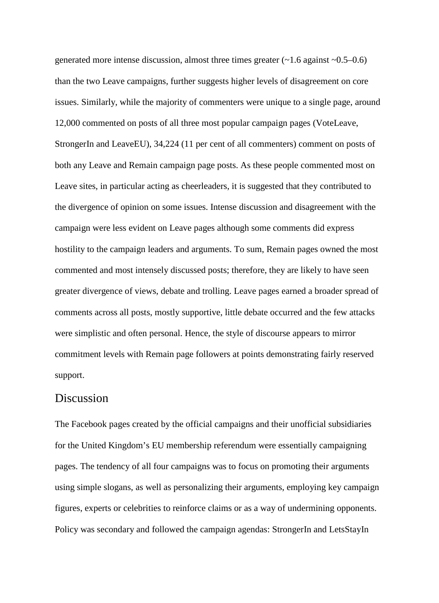generated more intense discussion, almost three times greater  $(\sim 1.6$  against  $\sim 0.5-0.6$ ) than the two Leave campaigns, further suggests higher levels of disagreement on core issues. Similarly, while the majority of commenters were unique to a single page, around 12,000 commented on posts of all three most popular campaign pages (VoteLeave, StrongerIn and LeaveEU), 34,224 (11 per cent of all commenters) comment on posts of both any Leave and Remain campaign page posts. As these people commented most on Leave sites, in particular acting as cheerleaders, it is suggested that they contributed to the divergence of opinion on some issues. Intense discussion and disagreement with the campaign were less evident on Leave pages although some comments did express hostility to the campaign leaders and arguments. To sum, Remain pages owned the most commented and most intensely discussed posts; therefore, they are likely to have seen greater divergence of views, debate and trolling. Leave pages earned a broader spread of comments across all posts, mostly supportive, little debate occurred and the few attacks were simplistic and often personal. Hence, the style of discourse appears to mirror commitment levels with Remain page followers at points demonstrating fairly reserved support.

#### Discussion

The Facebook pages created by the official campaigns and their unofficial subsidiaries for the United Kingdom's EU membership referendum were essentially campaigning pages. The tendency of all four campaigns was to focus on promoting their arguments using simple slogans, as well as personalizing their arguments, employing key campaign figures, experts or celebrities to reinforce claims or as a way of undermining opponents. Policy was secondary and followed the campaign agendas: StrongerIn and LetsStayIn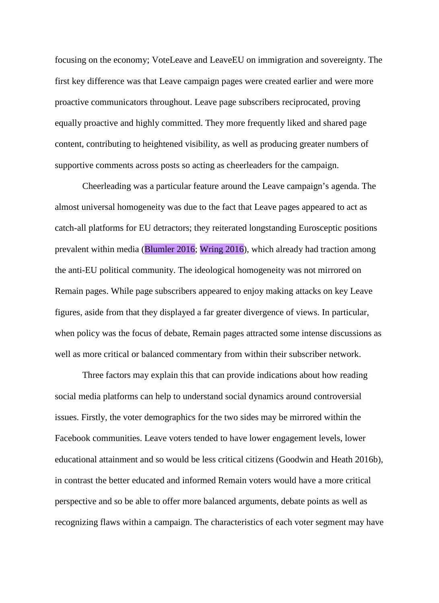focusing on the economy; VoteLeave and LeaveEU on immigration and sovereignty. The first key difference was that Leave campaign pages were created earlier and were more proactive communicators throughout. Leave page subscribers reciprocated, proving equally proactive and highly committed. They more frequently liked and shared page content, contributing to heightened visibility, as well as producing greater numbers of supportive comments across posts so acting as cheerleaders for the campaign.

Cheerleading was a particular feature around the Leave campaign's agenda. The almost universal homogeneity was due to the fact that Leave pages appeared to act as catch-all platforms for EU detractors; they reiterated longstanding Eurosceptic positions prevalent within media (Blumler 2016; Wring 2016), which already had traction among the anti-EU political community. The ideological homogeneity was not mirrored on Remain pages. While page subscribers appeared to enjoy making attacks on key Leave figures, aside from that they displayed a far greater divergence of views. In particular, when policy was the focus of debate, Remain pages attracted some intense discussions as well as more critical or balanced commentary from within their subscriber network.

Three factors may explain this that can provide indications about how reading social media platforms can help to understand social dynamics around controversial issues. Firstly, the voter demographics for the two sides may be mirrored within the Facebook communities. Leave voters tended to have lower engagement levels, lower educational attainment and so would be less critical citizens (Goodwin and Heath 2016b), in contrast the better educated and informed Remain voters would have a more critical perspective and so be able to offer more balanced arguments, debate points as well as recognizing flaws within a campaign. The characteristics of each voter segment may have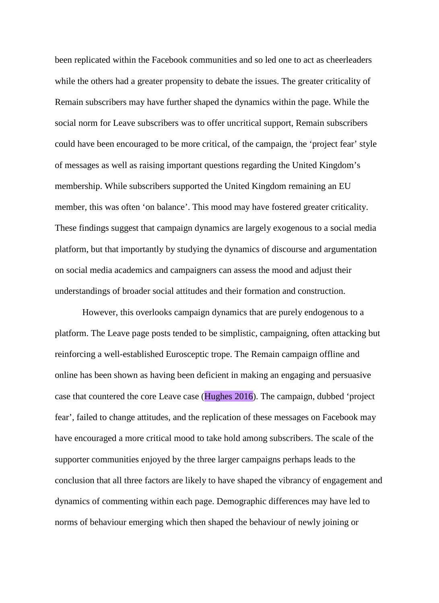been replicated within the Facebook communities and so led one to act as cheerleaders while the others had a greater propensity to debate the issues. The greater criticality of Remain subscribers may have further shaped the dynamics within the page. While the social norm for Leave subscribers was to offer uncritical support, Remain subscribers could have been encouraged to be more critical, of the campaign, the 'project fear' style of messages as well as raising important questions regarding the United Kingdom's membership. While subscribers supported the United Kingdom remaining an EU member, this was often 'on balance'. This mood may have fostered greater criticality. These findings suggest that campaign dynamics are largely exogenous to a social media platform, but that importantly by studying the dynamics of discourse and argumentation on social media academics and campaigners can assess the mood and adjust their understandings of broader social attitudes and their formation and construction.

However, this overlooks campaign dynamics that are purely endogenous to a platform. The Leave page posts tended to be simplistic, campaigning, often attacking but reinforcing a well-established Eurosceptic trope. The Remain campaign offline and online has been shown as having been deficient in making an engaging and persuasive case that countered the core Leave case (Hughes 2016). The campaign, dubbed 'project fear', failed to change attitudes, and the replication of these messages on Facebook may have encouraged a more critical mood to take hold among subscribers. The scale of the supporter communities enjoyed by the three larger campaigns perhaps leads to the conclusion that all three factors are likely to have shaped the vibrancy of engagement and dynamics of commenting within each page. Demographic differences may have led to norms of behaviour emerging which then shaped the behaviour of newly joining or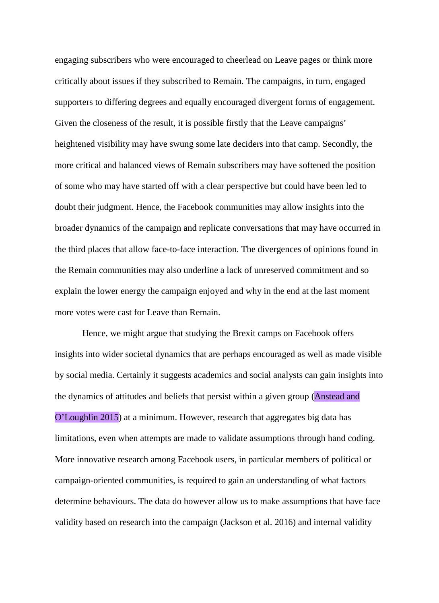engaging subscribers who were encouraged to cheerlead on Leave pages or think more critically about issues if they subscribed to Remain. The campaigns, in turn, engaged supporters to differing degrees and equally encouraged divergent forms of engagement. Given the closeness of the result, it is possible firstly that the Leave campaigns' heightened visibility may have swung some late deciders into that camp. Secondly, the more critical and balanced views of Remain subscribers may have softened the position of some who may have started off with a clear perspective but could have been led to doubt their judgment. Hence, the Facebook communities may allow insights into the broader dynamics of the campaign and replicate conversations that may have occurred in the third places that allow face-to-face interaction. The divergences of opinions found in the Remain communities may also underline a lack of unreserved commitment and so explain the lower energy the campaign enjoyed and why in the end at the last moment more votes were cast for Leave than Remain.

Hence, we might argue that studying the Brexit camps on Facebook offers insights into wider societal dynamics that are perhaps encouraged as well as made visible by social media. Certainly it suggests academics and social analysts can gain insights into the dynamics of attitudes and beliefs that persist within a given group (Anstead and O'Loughlin 2015) at a minimum. However, research that aggregates big data has limitations, even when attempts are made to validate assumptions through hand coding. More innovative research among Facebook users, in particular members of political or campaign-oriented communities, is required to gain an understanding of what factors determine behaviours. The data do however allow us to make assumptions that have face validity based on research into the campaign (Jackson et al. 2016) and internal validity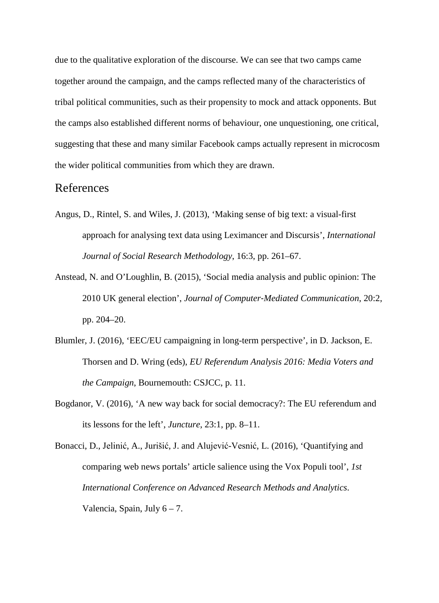due to the qualitative exploration of the discourse. We can see that two camps came together around the campaign, and the camps reflected many of the characteristics of tribal political communities, such as their propensity to mock and attack opponents. But the camps also established different norms of behaviour, one unquestioning, one critical, suggesting that these and many similar Facebook camps actually represent in microcosm the wider political communities from which they are drawn.

### References

- Angus, D., Rintel, S. and Wiles, J. (2013), 'Making sense of big text: a visual-first approach for analysing text data using Leximancer and Discursis', *International Journal of Social Research Methodology*, 16:3, pp. 261–67.
- Anstead, N. and O'Loughlin, B. (2015), 'Social media analysis and public opinion: The 2010 UK general election', *Journal of Computer*‐*Mediated Communication*, 20:2, pp. 204–20.
- Blumler, J. (2016), 'EEC/EU campaigning in long-term perspective', in D. Jackson, E. Thorsen and D. Wring (eds), *EU Referendum Analysis 2016: Media Voters and the Campaign*, Bournemouth: CSJCC, p. 11.
- Bogdanor, V. (2016), 'A new way back for social democracy?: The EU referendum and its lessons for the left', *Juncture*, 23:1, pp. 8–11.

Bonacci, D., Jelinić, A., Jurišić, J. and Alujević-Vesnić, L. (2016), 'Quantifying and comparing web news portals' article salience using the Vox Populi tool', *1st International Conference on Advanced Research Methods and Analytics*. Valencia, Spain, July  $6 - 7$ .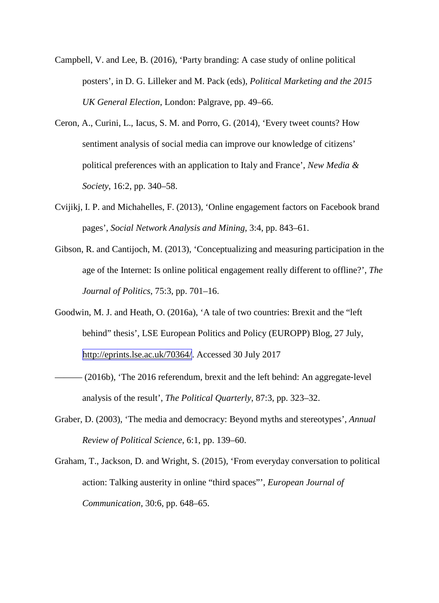- Campbell, V. and Lee, B. (2016), 'Party branding: A case study of online political posters', in D. G. Lilleker and M. Pack (eds), *Political Marketing and the 2015 UK General Election*, London: Palgrave, pp. 49–66.
- Ceron, A., Curini, L., Iacus, S. M. and Porro, G. (2014), 'Every tweet counts? How sentiment analysis of social media can improve our knowledge of citizens' political preferences with an application to Italy and France', *New Media & Society*, 16:2, pp. 340–58.
- Cvijikj, I. P. and Michahelles, F. (2013), 'Online engagement factors on Facebook brand pages', *Social Network Analysis and Mining*, 3:4, pp. 843–61.
- Gibson, R. and Cantijoch, M. (2013), 'Conceptualizing and measuring participation in the age of the Internet: Is online political engagement really different to offline?', *The Journal of Politics*, 75:3, pp. 701–16.
- Goodwin, M. J. and Heath, O. (2016a), 'A tale of two countries: Brexit and the "left behind" thesis', LSE European Politics and Policy (EUROPP) Blog, 27 July, [http://eprints.lse.ac.uk/70364/.](http://eprints.lse.ac.uk/70364/) Accessed 30 July 2017
- (2016b), 'The 2016 referendum, brexit and the left behind: An aggregate-level analysis of the result', *The Political Quarterly*, 87:3, pp. 323–32.
- Graber, D. (2003), 'The media and democracy: Beyond myths and stereotypes', *Annual Review of Political Science*, 6:1, pp. 139–60.
- Graham, T., Jackson, D. and Wright, S. (2015), 'From everyday conversation to political action: Talking austerity in online "third spaces"', *European Journal of Communication*, 30:6, pp. 648–65.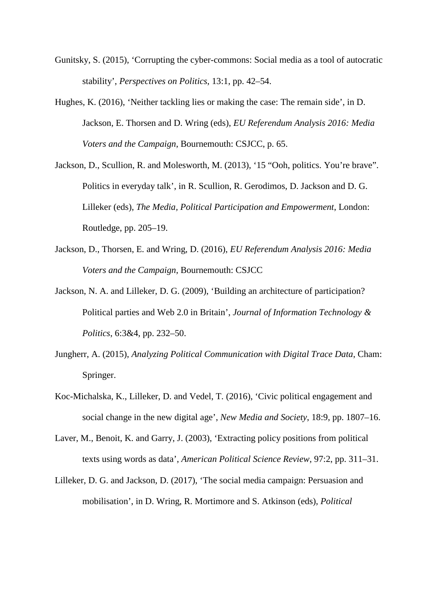- Gunitsky, S. (2015), 'Corrupting the cyber-commons: Social media as a tool of autocratic stability', *Perspectives on Politics*, 13:1, pp. 42–54.
- Hughes, K. (2016), 'Neither tackling lies or making the case: The remain side', in D. Jackson, E. Thorsen and D. Wring (eds), *EU Referendum Analysis 2016: Media Voters and the Campaign*, Bournemouth: CSJCC, p. 65.
- Jackson, D., Scullion, R. and Molesworth, M. (2013), '15 "Ooh, politics. You're brave". Politics in everyday talk', in R. Scullion, R. Gerodimos, D. Jackson and D. G. Lilleker (eds), *The Media, Political Participation and Empowerment*, London: Routledge, pp. 205–19.
- Jackson, D., Thorsen, E. and Wring, D. (2016), *EU Referendum Analysis 2016: Media Voters and the Campaign*, Bournemouth: CSJCC
- Jackson, N. A. and Lilleker, D. G. (2009), 'Building an architecture of participation? Political parties and Web 2.0 in Britain', *Journal of Information Technology & Politics*, 6:3&4, pp. 232–50.
- Jungherr, A. (2015), *Analyzing Political Communication with Digital Trace Data*, Cham: Springer.
- Koc-Michalska, K., Lilleker, D. and Vedel, T. (2016), 'Civic political engagement and social change in the new digital age', *New Media and Society*, 18:9, pp. 1807–16.
- Laver, M., Benoit, K. and Garry, J. (2003), 'Extracting policy positions from political texts using words as data', *American Political Science Review*, 97:2, pp. 311–31.
- Lilleker, D. G. and Jackson, D. (2017), 'The social media campaign: Persuasion and mobilisation', in D. Wring, R. Mortimore and S. Atkinson (eds), *Political*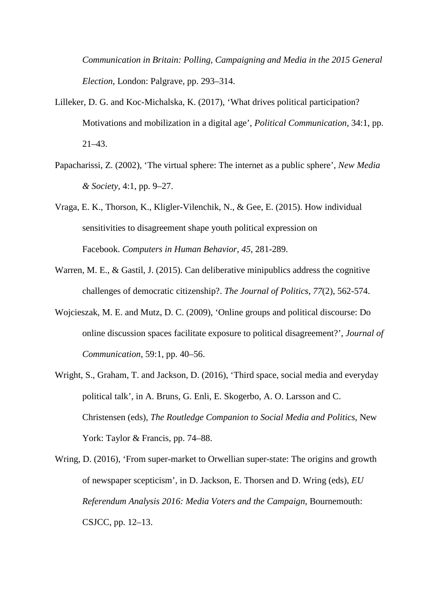*Communication in Britain: Polling, Campaigning and Media in the 2015 General Election*, London: Palgrave, pp. 293–314.

- Lilleker, D. G. and Koc-Michalska, K. (2017), 'What drives political participation? Motivations and mobilization in a digital age', *Political Communication*, 34:1, pp. 21–43.
- Papacharissi, Z. (2002), 'The virtual sphere: The internet as a public sphere', *New Media & Society*, 4:1, pp. 9–27.
- Vraga, E. K., Thorson, K., Kligler-Vilenchik, N., & Gee, E. (2015). How individual sensitivities to disagreement shape youth political expression on Facebook. *Computers in Human Behavior*, *45*, 281-289.
- Warren, M. E., & Gastil, J. (2015). Can deliberative minipublics address the cognitive challenges of democratic citizenship?. *The Journal of Politics*, *77*(2), 562-574.
- Wojcieszak, M. E. and Mutz, D. C. (2009), 'Online groups and political discourse: Do online discussion spaces facilitate exposure to political disagreement?', *Journal of Communication*, 59:1, pp. 40–56.
- Wright, S., Graham, T. and Jackson, D. (2016), 'Third space, social media and everyday political talk', in A. Bruns, G. Enli, E. Skogerbo, A. O. Larsson and C. Christensen (eds), *The Routledge Companion to Social Media and Politics*, New York: Taylor & Francis, pp. 74–88.
- Wring, D. (2016), 'From super-market to Orwellian super-state: The origins and growth of newspaper scepticism', in D. Jackson, E. Thorsen and D. Wring (eds), *EU Referendum Analysis 2016: Media Voters and the Campaign*, Bournemouth: CSJCC, pp. 12–13.